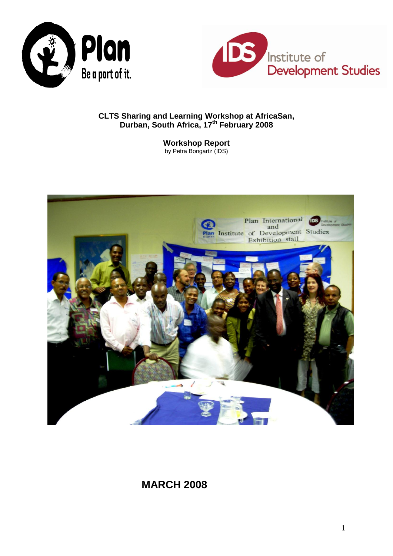



# **CLTS Sharing and Learning Workshop at AfricaSan, Durban, South Africa, 17 th February 2008**

**Workshop Report** by Petra Bongartz (IDS)



# **MARCH 2008**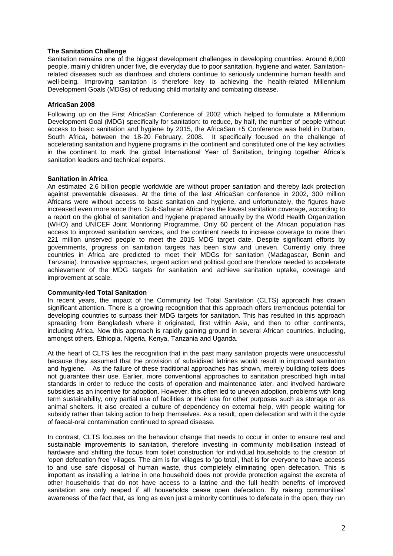# **The Sanitation Challenge**

Sanitation remains one of the biggest development challenges in developing countries. Around 6,000 people, mainly children under five, die everyday due to poor sanitation, hygiene and water. Sanitationrelated diseases such as diarrhoea and cholera continue to seriously undermine human health and well-being. Improving sanitation is therefore key to achieving the health-related Millennium Development Goals (MDGs) of reducing child mortality and combating disease.

# **AfricaSan 2008**

Following up on the First AfricaSan Conference of 2002 which helped to formulate a Millennium Development Goal (MDG) specifically for sanitation: to reduce, by half, the number of people without access to basic sanitation and hygiene by 2015, the AfricaSan +5 Conference was held in Durban, South Africa, between the 18-20 February, 2008. It specifically focused on the challenge of accelerating sanitation and hygiene programs in the continent and constituted one of the key activities in the continent to mark the global International Year of Sanitation, bringing together Africa's sanitation leaders and technical experts.

# **Sanitation in Africa**

An estimated 2.6 billion people worldwide are without proper sanitation and thereby lack protection against preventable diseases. At the time of the last AfricaSan conference in 2002, 300 million Africans were without access to basic sanitation and hygiene, and unfortunately, the figures have increased even more since then. Sub-Saharan Africa has the lowest sanitation coverage, according to a report on the global of sanitation and hygiene prepared annually by the World Health Organization (WHO) and UNICEF Joint Monitoring Programme. Only 60 percent of the African population has access to improved sanitation services, and the continent needs to increase coverage to more than 221 million unserved people to meet the 2015 MDG target date. Despite significant efforts by governments, progress on sanitation targets has been slow and uneven. Currently only three countries in Africa are predicted to meet their MDGs for sanitation (Madagascar, Benin and Tanzania). Innovative approaches, urgent action and political good are therefore needed to accelerate achievement of the MDG targets for sanitation and achieve sanitation uptake, coverage and improvement at scale.

#### **Community-led Total Sanitation**

In recent years, the impact of the Community led Total Sanitation (CLTS) approach has drawn significant attention. There is a growing recognition that this approach offers tremendous potential for developing countries to surpass their MDG targets for sanitation. This has resulted in this approach spreading from Bangladesh where it originated, first within Asia, and then to other continents, including Africa. Now this approach is rapidly gaining ground in several African countries, including, amongst others, Ethiopia, Nigeria, Kenya, Tanzania and Uganda.

At the heart of CLTS lies the recognition that in the past many sanitation projects were unsuccessful because they assumed that the provision of subsidised latrines would result in improved sanitation and hygiene. As the failure of these traditional approaches has shown, merely building toilets does not guarantee their use. Earlier, more conventional approaches to sanitation prescribed high initial standards in order to reduce the costs of operation and maintenance later, and involved hardware subsidies as an incentive for adoption. However, this often led to uneven adoption, problems with long term sustainability, only partial use of facilities or their use for other purposes such as storage or as animal shelters. It also created a culture of dependency on external help, with people waiting for subsidy rather than taking action to help themselves. As a result, open defecation and with it the cycle of faecal-oral contamination continued to spread disease.

In contrast, CLTS focuses on the behaviour change that needs to occur in order to ensure real and sustainable improvements to sanitation, therefore investing in community mobilisation instead of hardware and shifting the focus from toilet construction for individual households to the creation of 'open defecation free' villages. The aim is for villages to 'go total', that is for everyone to have access to and use safe disposal of human waste, thus completely eliminating open defecation. This is important as installing a latrine in one household does not provide protection against the excreta of other households that do not have access to a latrine and the full health benefits of improved sanitation are only reaped if all households cease open defecation. By raising communities' awareness of the fact that, as long as even just a minority continues to defecate in the open, they run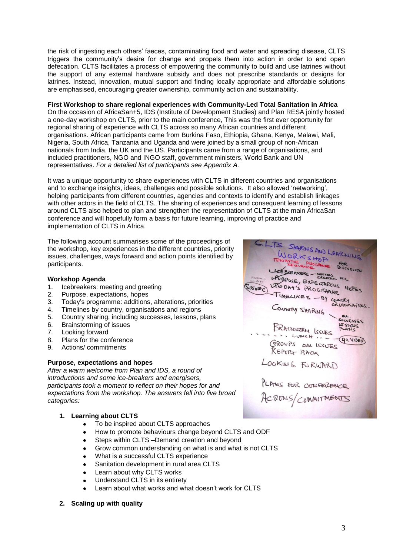the risk of ingesting each others' faeces, contaminating food and water and spreading disease, CLTS triggers the community's desire for change and propels them into action in order to end open defecation. CLTS facilitates a process of empowering the community to build and use latrines without the support of any external hardware subsidy and does not prescribe standards or designs for latrines. Instead, innovation, mutual support and finding locally appropriate and affordable solutions are emphasised, encouraging greater ownership, community action and sustainability.

# **First Workshop to share regional experiences with Community-Led Total Sanitation in Africa**

On the occasion of AfricaSan+5, IDS (Institute of Development Studies) and Plan RESA jointly hosted a one-day workshop on CLTS, prior to the main conference, This was the first ever opportunity for regional sharing of experience with CLTS across so many African countries and different organisations. African participants came from Burkina Faso, Ethiopia, Ghana, Kenya, Malawi, Mali, Nigeria, South Africa, Tanzania and Uganda and were joined by a small group of non-African nationals from India, the UK and the US. Participants came from a range of organisations, and included practitioners, NGO and INGO staff, government ministers, World Bank and UN representatives. *For a detailed list of participants see Appendix A.*

It was a unique opportunity to share experiences with CLTS in different countries and organisations and to exchange insights, ideas, challenges and possible solutions. It also allowed 'networking', helping participants from different countries, agencies and contexts to identify and establish linkages with other actors in the field of CLTS. The sharing of experiences and consequent learning of lessons around CLTS also helped to plan and strengthen the representation of CLTS at the main AfricaSan conference and will hopefully form a basis for future learning, improving of practice and implementation of CLTS in Africa.

The following account summarises some of the proceedings of the workshop, key experiences in the different countries, priority issues, challenges, ways forward and action points identified by participants.

#### **Workshop Agenda**

- 1. Icebreakers: meeting and greeting
- 2. Purpose, expectations, hopes
- 3. Today's programme: additions, alterations, priorities
- 4. Timelines by country, organisations and regions
- 5. Country sharing, including successes, lessons, plans
- 6. Brainstorming of issues
- 7. Looking forward
- 8. Plans for the conference
- 9. Actions/ commitments

# **Purpose, expectations and hopes**

*After a warm welcome from Plan and IDS, a round of introductions and some ice-breakers and energisers, participants took a moment to reflect on their hopes for and expectations from the workshop. The answers fell into five broad categories:*

# **1. Learning about CLTS**

- To be inspired about CLTS approaches
- $\bullet$ How to promote behaviours change beyond CLTS and ODF
- Steps within CLTS –Demand creation and beyond  $\bullet$
- Grow common understanding on what is and what is not CLTS  $\bullet$
- What is a successful CLTS experience  $\bullet$
- Sanitation development in rural area CLTS  $\bullet$
- Learn about why CLTS works
- Understand CLTS in its entirety
- Learn about what works and what doesn't work for CLTS

# **2. Scaling up with quality**

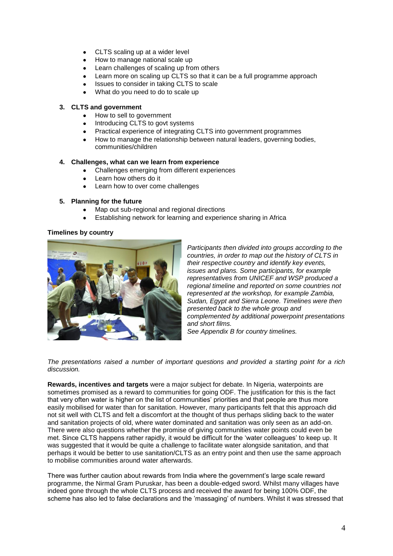- CLTS scaling up at a wider level  $\bullet$
- How to manage national scale up
- Learn challenges of scaling up from others
- Learn more on scaling up CLTS so that it can be a full programme approach
- Issues to consider in taking CLTS to scale
- What do you need to do to scale up

# **3. CLTS and government**

- How to sell to government
- Introducing CLTS to govt systems
- Practical experience of integrating CLTS into government programmes
- How to manage the relationship between natural leaders, governing bodies, communities/children

# **4. Challenges, what can we learn from experience**

- Challenges emerging from different experiences
- Learn how others do it
- Learn how to over come challenges

# **5. Planning for the future**

- Map out sub-regional and regional directions
- Establishing network for learning and experience sharing in Africa

# **Timelines by country**



*Participants then divided into groups according to the countries, in order to map out the history of CLTS in their respective country and identify key events, issues and plans. Some participants, for example representatives from UNICEF and WSP produced a regional timeline and reported on some countries not represented at the workshop, for example Zambia, Sudan, Egypt and Sierra Leone. Timelines were then presented back to the whole group and complemented by additional powerpoint presentations and short films.*

*See Appendix B for country timelines.*

*The presentations raised a number of important questions and provided a starting point for a rich discussion.*

**Rewards, incentives and targets** were a major subject for debate. In Nigeria, waterpoints are sometimes promised as a reward to communities for going ODF. The justification for this is the fact that very often water is higher on the list of communities' priorities and that people are thus more easily mobilised for water than for sanitation. However, many participants felt that this approach did not sit well with CLTS and felt a discomfort at the thought of thus perhaps sliding back to the water and sanitation projects of old, where water dominated and sanitation was only seen as an add-on. There were also questions whether the promise of giving communities water points could even be met. Since CLTS happens rather rapidly, it would be difficult for the 'water colleagues' to keep up. It was suggested that it would be quite a challenge to facilitate water alongside sanitation, and that perhaps it would be better to use sanitation/CLTS as an entry point and then use the same approach to mobilise communities around water afterwards.

There was further caution about rewards from India where the government's large scale reward programme, the Nirmal Gram Puruskar, has been a double-edged sword. Whilst many villages have indeed gone through the whole CLTS process and received the award for being 100% ODF, the scheme has also led to false declarations and the 'massaging' of numbers. Whilst it was stressed that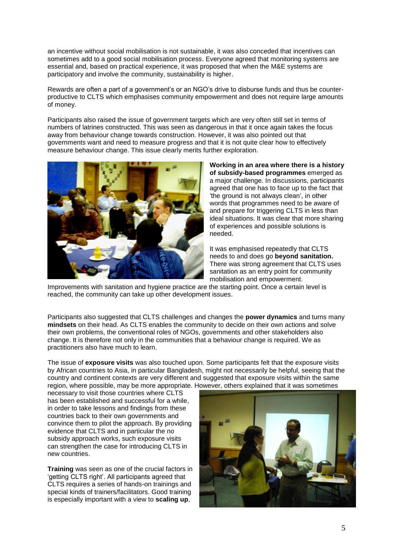an incentive without social mobilisation is not sustainable, it was also conceded that incentives can sometimes add to a good social mobilisation process. Everyone agreed that monitoring systems are essential and, based on practical experience, it was proposed that when the M&E systems are participatory and involve the community, sustainability is higher.

Rewards are often a part of a government's or an NGO's drive to disburse funds and thus be counterproductive to CLTS which emphasises community empowerment and does not require large amounts of money.

Participants also raised the issue of government targets which are very often still set in terms of numbers of latrines constructed. This was seen as dangerous in that it once again takes the focus away from behaviour change towards construction. However, it was also pointed out that governments want and need to measure progress and that it is not quite clear how to effectively measure behaviour change. This issue clearly merits further exploration.



**Working in an area where there is a history of subsidy-based programmes** emerged as a major challenge. In discussions, participants agreed that one has to face up to the fact that 'the ground is not always clean', in other words that programmes need to be aware of and prepare for triggering CLTS in less than ideal situations. It was clear that more sharing of experiences and possible solutions is needed.

It was emphasised repeatedly that CLTS needs to and does go **beyond sanitation.** There was strong agreement that CLTS uses sanitation as an entry point for community mobilisation and empowerment.

Improvements with sanitation and hygiene practice are the starting point. Once a certain level is reached, the community can take up other development issues.

Participants also suggested that CLTS challenges and changes the **power dynamics** and turns many **mindsets** on their head. As CLTS enables the community to decide on their own actions and solve their own problems, the conventional roles of NGOs, governments and other stakeholders also change. It is therefore not only in the communities that a behaviour change is required. We as practitioners also have much to learn.

The issue of **exposure visits** was also touched upon. Some participants felt that the exposure visits by African countries to Asia, in particular Bangladesh, might not necessarily be helpful, seeing that the country and continent contexts are very different and suggested that exposure visits within the same region, where possible, may be more appropriate. However, others explained that it was sometimes

necessary to visit those countries where CLTS has been established and successful for a while, in order to take lessons and findings from these countries back to their own governments and convince them to pilot the approach. By providing evidence that CLTS and in particular the no subsidy approach works, such exposure visits can strengthen the case for introducing CLTS in new countries.

**Training** was seen as one of the crucial factors in 'getting CLTS right'. All participants agreed that CLTS requires a series of hands-on trainings and special kinds of trainers/facilitators. Good training is especially important with a view to **scaling up**,

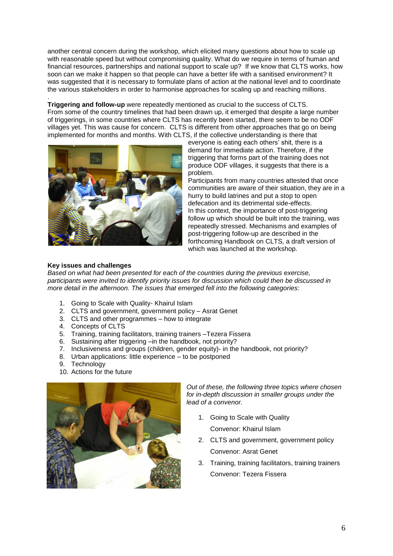another central concern during the workshop, which elicited many questions about how to scale up with reasonable speed but without compromising quality. What do we require in terms of human and financial resources, partnerships and national support to scale up? If we know that CLTS works, how soon can we make it happen so that people can have a better life with a sanitised environment? It was suggested that it is necessary to formulate plans of action at the national level and to coordinate the various stakeholders in order to harmonise approaches for scaling up and reaching millions.

. **Triggering and follow-up** were repeatedly mentioned as crucial to the success of CLTS. From some of the country timelines that had been drawn up, it emerged that despite a large number of triggerings, in some countries where CLTS has recently been started, there seem to be no ODF villages yet. This was cause for concern. CLTS is different from other approaches that go on being implemented for months and months. With CLTS, if the collective understanding is there that



everyone is eating each others' shit, there is a demand for immediate action. Therefore, if the triggering that forms part of the training does not produce ODF villages, it suggests that there is a problem.

Participants from many countries attested that once communities are aware of their situation, they are in a hurry to build latrines and put a stop to open defecation and its detrimental side-effects. In this context, the importance of post-triggering follow up which should be built into the training, was repeatedly stressed. Mechanisms and examples of post-triggering follow-up are described in the forthcoming Handbook on CLTS, a draft version of which was launched at the workshop.

# **Key issues and challenges**

*Based on what had been presented for each of the countries during the previous exercise, participants were invited to identify priority issues for discussion which could then be discussed in more detail in the afternoon. The issues that emerged fell into the following categories:*

- 1. Going to Scale with Quality- Khairul Islam
- 2. CLTS and government, government policy Asrat Genet
- 3. CLTS and other programmes how to integrate
- 4. Concepts of CLTS
- 5. Training, training facilitators, training trainers –Tezera Fissera
- 6. Sustaining after triggering –in the handbook, not priority?
- 7. Inclusiveness and groups (children, gender equity)- in the handbook, not priority?
- 8. Urban applications: little experience to be postponed
- 9. Technology
- 10. Actions for the future



*Out of these, the following three topics where chosen for in-depth discussion in smaller groups under the lead of a convenor.*

- 1. Going to Scale with Quality Convenor: Khairul Islam
- 2. CLTS and government, government policy Convenor: Asrat Genet
- 3. Training, training facilitators, training trainers Convenor: Tezera Fissera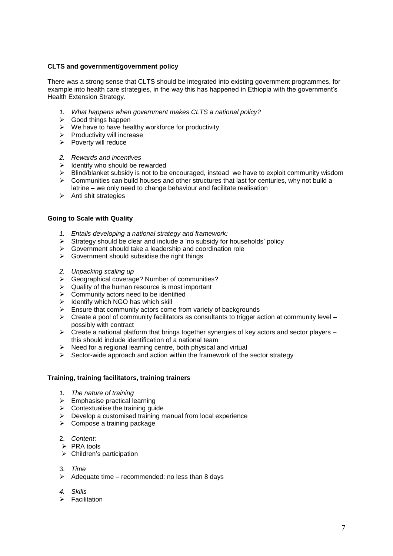# **CLTS and government/government policy**

There was a strong sense that CLTS should be integrated into existing government programmes, for example into health care strategies, in the way this has happened in Ethiopia with the government's Health Extension Strategy.

- *1. What happens when government makes CLTS a national policy?*
- $\triangleright$  Good things happen
- $\triangleright$  We have to have healthy workforce for productivity
- $\triangleright$  Productivity will increase
- $\triangleright$  Poverty will reduce
- *2. Rewards and incentives*
- $\geq$  Identify who should be rewarded
- $\triangleright$  Blind/blanket subsidy is not to be encouraged, instead we have to exploit community wisdom
- $\triangleright$  Communities can build houses and other structures that last for centuries, why not build a latrine – we only need to change behaviour and facilitate realisation
- $\triangleright$  Anti shit strategies

# **Going to Scale with Quality**

- *1. Entails developing a national strategy and framework:*
- $\triangleright$  Strategy should be clear and include a 'no subsidy for households' policy
- $\triangleright$  Government should take a leadership and coordination role
- $\triangleright$  Government should subsidise the right things
- *2. Unpacking scaling up*
- Geographical coverage? Number of communities?
- $\triangleright$  Quality of the human resource is most important
- $\triangleright$  Community actors need to be identified
- $\triangleright$  Identify which NGO has which skill
- $\triangleright$  Ensure that community actors come from variety of backgrounds
- $\triangleright$  Create a pool of community facilitators as consultants to trigger action at community level possibly with contract
- $\triangleright$  Create a national platform that brings together synergies of key actors and sector players this should include identification of a national team
- $\triangleright$  Need for a regional learning centre, both physical and virtual
- $\triangleright$  Sector-wide approach and action within the framework of the sector strategy

#### **Training, training facilitators, training trainers**

- *1. The nature of training*
- $\triangleright$  Emphasise practical learning
- $\triangleright$  Contextualise the training guide
- $\triangleright$  Develop a customised training manual from local experience
- $\triangleright$  Compose a training package

#### 2. *Content*:

- $\triangleright$  PRA tools
- $\triangleright$  Children's participation
- 3. *Time*
- $\triangleright$  Adequate time recommended: no less than 8 days
- *4. Skills*
- Facilitation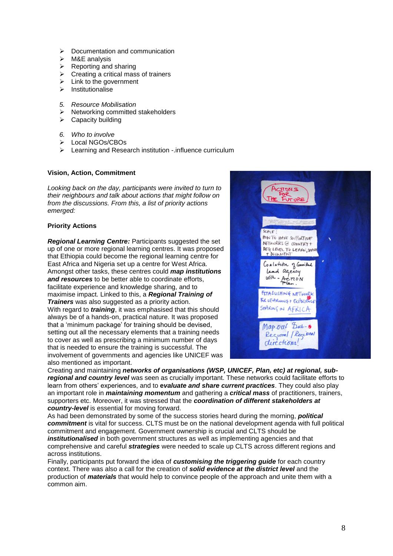- $\triangleright$  Documentation and communication
- $\triangleright$  M&E analysis
- $\triangleright$  Reporting and sharing
- $\triangleright$  Creating a critical mass of trainers
- $\triangleright$  Link to the government
- $\triangleright$  Institutionalise
- *5. Resource Mobilisation*
- $\triangleright$  Networking committed stakeholders
- $\triangleright$  Capacity building
- *6. Who to involve*
- Local NGOs/CBOs
- Examing and Research institution -.influence curriculum

# **Vision, Action, Commitment**

*Looking back on the day, participants were invited to turn to their neighbours and talk about actions that might follow on from the discussions. From this, a list of priority actions emerged:*

# **Priority Actions**

*Regional Learning Centre:* Participants suggested the set up of one or more regional learning centres. It was proposed that Ethiopia could become the regional learning centre for East Africa and Nigeria set up a centre for West Africa. Amongst other tasks, these centres could *map institutions and resources* to be better able to coordinate efforts, facilitate experience and knowledge sharing, and to maximise impact. Linked to this, a *Regional Training of Trainers* was also suggested as a priority action. With regard to *training*, it was emphasised that this should always be of a hands-on, practical nature. It was proposed that a 'minimum package' for training should be devised, setting out all the necessary elements that a training needs to cover as well as prescribing a minimum number of days that is needed to ensure the training is successful. The involvement of governments and agencies like UNICEF was also mentioned as important.



Creating and maintaining *networks of organisations (WSP, UNICEF, Plan, etc) at regional, subregional and country level* was seen as crucially important. These networks could facilitate efforts to learn from others' experiences, and to **e***valuate and share current practices*. They could also play an important role in *maintaining momentum* and gathering a *critical mass* of practitioners, trainers, supporters etc. Moreover, it was stressed that the *coordination of different stakeholders at country-level* is essential for moving forward.

As had been demonstrated by some of the success stories heard during the morning, *political commitment* is vital for success. CLTS must be on the national development agenda with full political commitment and engagement. Government ownership is crucial and CLTS should be *institutionalised* in both government structures as well as implementing agencies and that comprehensive and careful *strategies* were needed to scale up CLTS across different regions and across institutions.

Finally, participants put forward the idea of *customising the triggering guide* for each country context. There was also a call for the creation of *solid evidence at the district level* and the production of *materials* that would help to convince people of the approach and unite them with a common aim.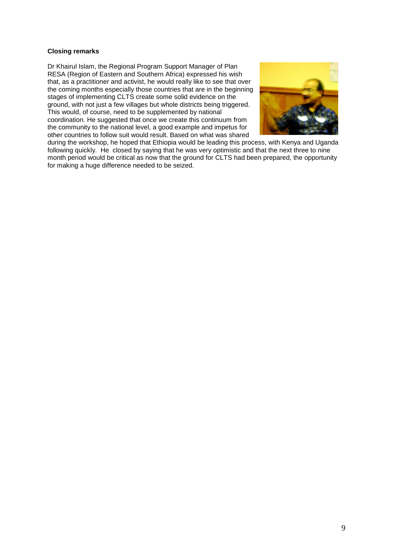# **Closing remarks**

Dr Khairul Islam, the Regional Program Support Manager of Plan RESA (Region of Eastern and Southern Africa) expressed his wish that, as a practitioner and activist, he would really like to see that over the coming months especially those countries that are in the beginning stages of implementing CLTS create some solid evidence on the ground, with not just a few villages but whole districts being triggered. This would, of course, need to be supplemented by national coordination. He suggested that once we create this continuum from the community to the national level, a good example and impetus for other countries to follow suit would result. Based on what was shared



during the workshop, he hoped that Ethiopia would be leading this process, with Kenya and Uganda following quickly. He closed by saying that he was very optimistic and that the next three to nine month period would be critical as now that the ground for CLTS had been prepared, the opportunity for making a huge difference needed to be seized.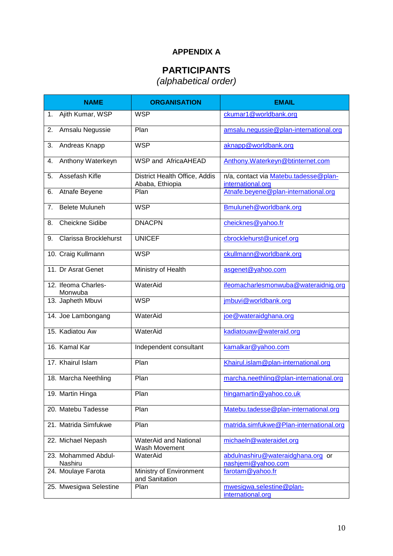# **APPENDIX A**

# **PARTICIPANTS**

*(alphabetical order)*

| <b>NAME</b>                             | <b>ORGANISATION</b>                              | <b>EMAIL</b>                                               |
|-----------------------------------------|--------------------------------------------------|------------------------------------------------------------|
| Ajith Kumar, WSP<br>1.                  | <b>WSP</b>                                       | ckumar1@worldbank.org                                      |
| 2.<br>Amsalu Negussie                   | Plan                                             | amsalu.negussie@plan-international.org                     |
| Andreas Knapp<br>3.                     | <b>WSP</b>                                       | aknapp@worldbank.org                                       |
| Anthony Waterkeyn<br>4.                 | <b>WSP and AfricaAHEAD</b>                       | Anthony. Waterkeyn@btinternet.com                          |
| Assefash Kifle<br>5.                    | District Health Office, Addis<br>Ababa, Ethiopia | n/a, contact via Matebu.tadesse@plan-<br>international.org |
| Atnafe Beyene<br>6.                     | Plan                                             | Atnafe.beyene@plan-international.org                       |
| <b>Belete Muluneh</b><br>7 <sub>1</sub> | <b>WSP</b>                                       | Bmuluneh@worldbank.org                                     |
| <b>Cheickne Sidibe</b><br>8.            | <b>DNACPN</b>                                    | cheicknes@yahoo.fr                                         |
| Clarissa Brocklehurst<br>9.             | <b>UNICEF</b>                                    | cbrocklehurst@unicef.org                                   |
| 10. Craig Kullmann                      | <b>WSP</b>                                       | ckullmann@worldbank.org                                    |
| 11. Dr Asrat Genet                      | Ministry of Health                               | asgenet@yahoo.com                                          |
| 12. Ifeoma Charles-<br>Monwuba          | WaterAid                                         | ifeomacharlesmonwuba@wateraidnig.org                       |
| 13. Japheth Mbuvi                       | <b>WSP</b>                                       | jmbuvi@worldbank.org                                       |
| 14. Joe Lambongang                      | WaterAid                                         | joe@wateraidghana.org                                      |
| 15. Kadiatou Aw                         | WaterAid                                         | kadiatouaw@wateraid.org                                    |
| 16. Kamal Kar                           | Independent consultant                           | kamalkar@yahoo.com                                         |
| 17. Khairul Islam                       | Plan                                             | Khairul.islam@plan-international.org                       |
| 18. Marcha Neethling                    | Plan                                             | marcha.neethling@plan-international.org                    |
| 19. Martin Hinga                        | Plan                                             | hingamartin@yahoo.co.uk                                    |
| 20. Matebu Tadesse                      | Plan                                             | Matebu.tadesse@plan-international.org                      |
| 21. Matrida Simfukwe                    | Plan                                             | matrida.simfukwe@Plan-international.org                    |
| 22. Michael Nepash                      | <b>WaterAid and National</b><br>Wash Movement    | michaeln@wateraidet.org                                    |
| 23. Mohammed Abdul-<br>Nashiru          | WaterAid                                         | abdulnashiru@wateraidghana.org or<br>nashjemi@yahoo.com    |
| 24. Moulaye Farota                      | Ministry of Environment<br>and Sanitation        | farotam@yahoo.fr                                           |
| 25. Mwesigwa Selestine                  | Plan                                             | mwesigwa.selestine@plan-<br>international.org              |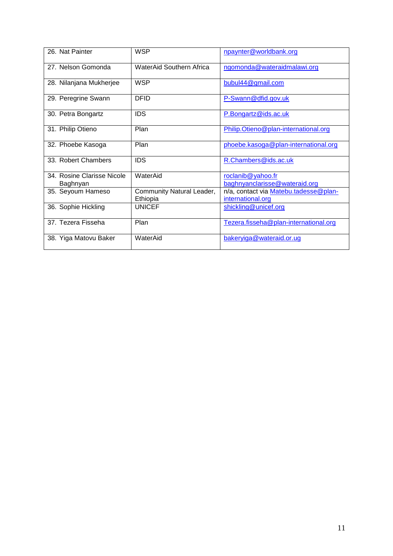| 26. Nat Painter                        | <b>WSP</b>                            | npaynter@worldbank.org                                     |
|----------------------------------------|---------------------------------------|------------------------------------------------------------|
| 27. Nelson Gomonda                     | WaterAid Southern Africa              | ngomonda@wateraidmalawi.org                                |
| 28. Nilanjana Mukherjee                | <b>WSP</b>                            | bubul44@gmail.com                                          |
| 29. Peregrine Swann                    | <b>DFID</b>                           | P-Swann@dfid.gov.uk                                        |
| 30. Petra Bongartz                     | <b>IDS</b>                            | P.Bongartz@ids.ac.uk                                       |
| 31. Philip Otieno                      | Plan                                  | Philip.Otieno@plan-international.org                       |
| 32. Phoebe Kasoga                      | Plan                                  | phoebe.kasoga@plan-international.org                       |
| 33. Robert Chambers                    | <b>IDS</b>                            | R.Chambers@ids.ac.uk                                       |
| 34. Rosine Clarisse Nicole<br>Baghnyan | WaterAid                              | roclanib@yahoo.fr<br>baghnyanclarisse@wateraid.org         |
| 35. Seyoum Hameso                      | Community Natural Leader,<br>Ethiopia | n/a, contact via Matebu.tadesse@plan-<br>international.org |
| 36. Sophie Hickling                    | <b>UNICEF</b>                         | shickling@unicef.org                                       |
| 37. Tezera Fisseha                     | Plan                                  | Tezera.fisseha@plan-international.org                      |
| 38. Yiga Matovu Baker                  | WaterAid                              | bakeryiga@wateraid.or.ug                                   |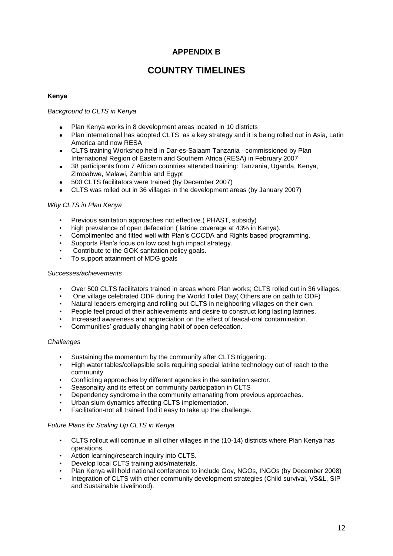# **APPENDIX B**

# **COUNTRY TIMELINES**

# **Kenya**

# *Background to CLTS in Kenya*

- Plan Kenya works in 8 development areas located in 10 districts  $\bullet$
- Plan international has adopted CLTS as a key strategy and it is being rolled out in Asia, Latin America and now RESA
- CLTS training Workshop held in Dar-es-Salaam Tanzania commissioned by Plan  $\bullet$ International Region of Eastern and Southern Africa (RESA) in February 2007
- 38 participants from 7 African countries attended training: Tanzania, Uganda, Kenya,  $\bullet$ Zimbabwe, Malawi, Zambia and Egypt
- 500 CLTS facilitators were trained (by December 2007)
- CLTS was rolled out in 36 villages in the development areas (by January 2007)

# *Why CLTS in Plan Kenya*

- Previous sanitation approaches not effective.( PHAST, subsidy)
- high prevalence of open defecation (latrine coverage at 43% in Kenya).
- Complimented and fitted well with Plan's CCCDA and Rights based programming.
- Supports Plan's focus on low cost high impact strategy.
- Contribute to the GOK sanitation policy goals.
- To support attainment of MDG goals

# *Successes/achievements*

- Over 500 CLTS facilitators trained in areas where Plan works; CLTS rolled out in 36 villages;
- One village celebrated ODF during the World Toilet Day( Others are on path to ODF)
- Natural leaders emerging and rolling out CLTS in neighboring villages on their own.
- People feel proud of their achievements and desire to construct long lasting latrines.
- Increased awareness and appreciation on the effect of feacal-oral contamination.
- Communities' gradually changing habit of open defecation.

#### *Challenges*

- Sustaining the momentum by the community after CLTS triggering.
- High water tables/collapsible soils requiring special latrine technology out of reach to the community.
- Conflicting approaches by different agencies in the sanitation sector.
- Seasonality and its effect on community participation in CLTS
- Dependency syndrome in the community emanating from previous approaches.
- Urban slum dynamics affecting CLTS implementation.
- Facilitation-not all trained find it easy to take up the challenge.

#### *Future Plans for Scaling Up CLTS in Kenya*

- CLTS rollout will continue in all other villages in the (10-14) districts where Plan Kenya has operations.
- Action learning/research inquiry into CLTS.
- Develop local CLTS training aids/materials.
- Plan Kenya will hold national conference to include Gov, NGOs, INGOs (by December 2008)
- Integration of CLTS with other community development strategies (Child survival, VS&L, SIP and Sustainable Livelihood).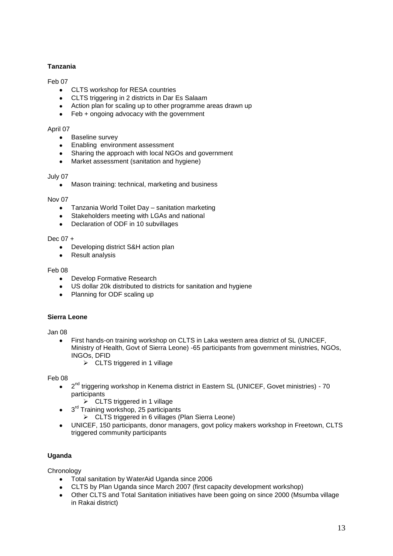# **Tanzania**

# Feb 07

- CLTS workshop for RESA countries
- CLTS triggering in 2 districts in Dar Es Salaam
- Action plan for scaling up to other programme areas drawn up
- Feb + ongoing advocacy with the government

# April 07

- Baseline survey  $\bullet$
- $\bullet$ Enabling environment assessment
- Sharing the approach with local NGOs and government  $\bullet$
- Market assessment (sanitation and hygiene)  $\bullet$

#### July 07

• Mason training: technical, marketing and business

#### Nov 07

- Tanzania World Toilet Day sanitation marketing
- Stakeholders meeting with LGAs and national
- Declaration of ODF in 10 subvillages  $\bullet$

# Dec 07 +

- Developing district S&H action plan  $\bullet$
- $\bullet$ Result analysis

#### Feb 08

- Develop Formative Research  $\bullet$
- US dollar 20k distributed to districts for sanitation and hygiene
- Planning for ODF scaling up  $\bullet$

# **Sierra Leone**

#### Jan 08

- First hands-on training workshop on CLTS in Laka western area district of SL (UNICEF, Ministry of Health, Govt of Sierra Leone) -65 participants from government ministries, NGOs, INGOs, DFID
	- $\triangleright$  CLTS triggered in 1 village

Feb 08

- 2<sup>nd</sup> triggering workshop in Kenema district in Eastern SL (UNICEF, Govet ministries) 70  $\bullet$ participants
	- $\triangleright$  CLTS triggered in 1 village
- 3<sup>rd</sup> Training workshop, 25 participants
	- $\triangleright$  CLTS triggered in 6 villages (Plan Sierra Leone)
- UNICEF, 150 participants, donor managers, govt policy makers workshop in Freetown, CLTS triggered community participants

# **Uganda**

**Chronology** 

- Total sanitation by WaterAid Uganda since 2006
- CLTS by Plan Uganda since March 2007 (first capacity development workshop)
- Other CLTS and Total Sanitation initiatives have been going on since 2000 (Msumba village in Rakai district)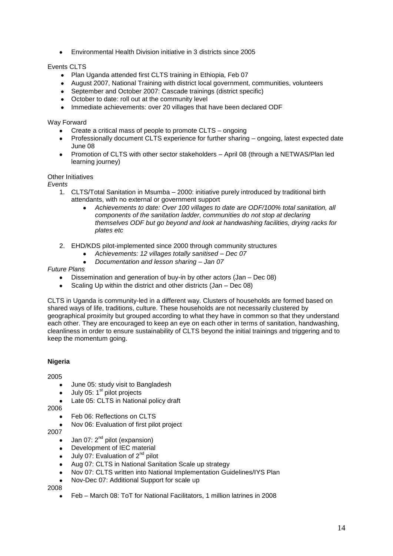Environmental Health Division initiative in 3 districts since 2005

# Events CLTS

- Plan Uganda attended first CLTS training in Ethiopia, Feb 07
- August 2007, National Training with district local government, communities, volunteers
- $\bullet$ September and October 2007: Cascade trainings (district specific)
- October to date: roll out at the community level
- Immediate achievements: over 20 villages that have been declared ODF

# Way Forward

- Create a critical mass of people to promote CLTS ongoing  $\bullet$
- Professionally document CLTS experience for further sharing ongoing, latest expected date June 08
- Promotion of CLTS with other sector stakeholders April 08 (through a NETWAS/Plan led  $\bullet$ learning journey)

# Other Initiatives

*Events*

- 1. CLTS/Total Sanitation in Msumba 2000: initiative purely introduced by traditional birth attendants, with no external or government support
	- *Achievements to date: Over 100 villages to date are ODF/100% total sanitation, all components of the sanitation ladder, communities do not stop at declaring themselves ODF but go beyond and look at handwashing facilities, drying racks for plates etc*
- 2. EHD/KDS pilot-implemented since 2000 through community structures
	- *Achievements: 12 villages totally sanitised – Dec 07*
	- *Documentation and lesson sharing – Jan 07*

# *Future Plans*

- Dissemination and generation of buy-in by other actors (Jan Dec 08)
- Scaling Up within the district and other districts (Jan Dec 08)  $\bullet$

CLTS in Uganda is community-led in a different way. Clusters of households are formed based on shared ways of life, traditions, culture. These households are not necessarily clustered by geographical proximity but grouped according to what they have in common so that they understand each other. They are encouraged to keep an eye on each other in terms of sanitation, handwashing, cleanliness in order to ensure sustainability of CLTS beyond the initial trainings and triggering and to keep the momentum going.

# **Nigeria**

2005

- June 05: study visit to Bangladesh  $\bullet$
- July 05: 1<sup>st</sup> pilot projects  $\bullet$
- Late 05: CLTS in National policy draft
- 2006
	- Feb 06: Reflections on CLTS
	- Nov 06: Evaluation of first pilot project

2007

- Jan 07:  $2^{nd}$  pilot (expansion)
- Development of IEC material  $\bullet$
- July 07: Evaluation of 2<sup>nd</sup> pilot  $\bullet$
- Aug 07: CLTS in National Sanitation Scale up strategy  $\bullet$
- Nov 07: CLTS written into National Implementation Guidelines/IYS Plan
- Nov-Dec 07: Additional Support for scale up

2008

Feb – March 08: ToT for National Facilitators, 1 million latrines in 2008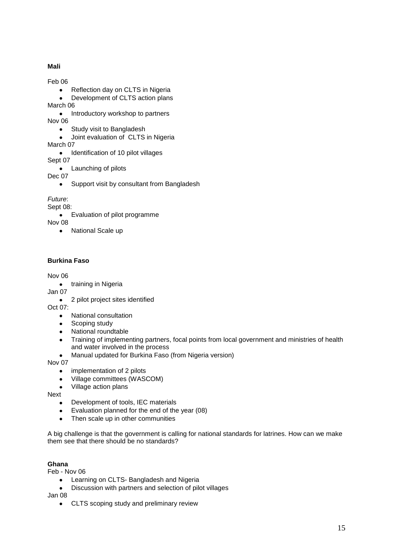# **Mali**

Feb 06

- Reflection day on CLTS in Nigeria  $\bullet$
- Development of CLTS action plans  $\bullet$

March 06

Introductory workshop to partners  $\bullet$ Nov 06

- Study visit to Bangladesh
- Joint evaluation of CLTS in Nigeria

March 07

• Identification of 10 pilot villages

Sept 07

• Launching of pilots

Dec 07

Support visit by consultant from Bangladesh  $\bullet$ 

# *Future*:

Sept 08:

• Evaluation of pilot programme

Nov 08

• National Scale up

# **Burkina Faso**

# Nov 06

• training in Nigeria

Jan 07

• 2 pilot project sites identified

Oct 07:

- National consultation  $\bullet$
- Scoping study
- National roundtable
- $\bullet$ Training of implementing partners, focal points from local government and ministries of health and water involved in the process
- Manual updated for Burkina Faso (from Nigeria version)  $\bullet$

Nov 07

- implementation of 2 pilots  $\bullet$
- Village committees (WASCOM)  $\bullet$
- Village action plans

Next

- $\bullet$ Development of tools, IEC materials
- Evaluation planned for the end of the year (08)  $\bullet$
- $\bullet$ Then scale up in other communities

A big challenge is that the government is calling for national standards for latrines. How can we make them see that there should be no standards?

# **Ghana**

Feb - Nov 06

- Learning on CLTS- Bangladesh and Nigeria  $\bullet$
- Discussion with partners and selection of pilot villages  $\bullet$

Jan 08

CLTS scoping study and preliminary review $\bullet$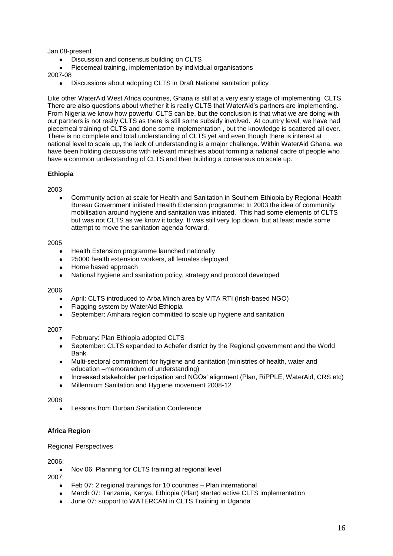Jan 08-present

- Discussion and consensus building on CLTS
- Piecemeal training, implementation by individual organisations

2007-08

 $\bullet$ Discussions about adopting CLTS in Draft National sanitation policy

Like other WaterAid West Africa countries, Ghana is still at a very early stage of implementing CLTS. There are also questions about whether it is really CLTS that WaterAid's partners are implementing. From Nigeria we know how powerful CLTS can be, but the conclusion is that what we are doing with our partners is not really CLTS as there is still some subsidy involved. At country level, we have had piecemeal training of CLTS and done some implementation , but the knowledge is scattered all over. There is no complete and total understanding of CLTS yet and even though there is interest at national level to scale up, the lack of understanding is a major challenge. Within WaterAid Ghana, we have been holding discussions with relevant ministries about forming a national cadre of people who have a common understanding of CLTS and then building a consensus on scale up.

# **Ethiopia**

2003

Community action at scale for Health and Sanitation in Southern Ethiopia by Regional Health Bureau Government initiated Health Extension programme: In 2003 the idea of community mobilisation around hygiene and sanitation was initiated. This had some elements of CLTS but was not CLTS as we know it today. It was still very top down, but at least made some attempt to move the sanitation agenda forward.

#### 2005

- Health Extension programme launched nationally
- 25000 health extension workers, all females deployed  $\bullet$
- Home based approach  $\bullet$
- National hygiene and sanitation policy, strategy and protocol developed  $\bullet$

#### 2006

- April: CLTS introduced to Arba Minch area by VITA RTI (Irish-based NGO)
- Flagging system by WaterAid Ethiopia
- $\bullet$ September: Amhara region committed to scale up hygiene and sanitation

# 2007

- February: Plan Ethiopia adopted CLTS
- September: CLTS expanded to Achefer district by the Regional government and the World  $\blacktriangle$ Bank
- Multi-sectoral commitment for hygiene and sanitation (ministries of health, water and  $\bullet$ education –memorandum of understanding)
- Increased stakeholder participation and NGOs' alignment (Plan, RiPPLE, WaterAid, CRS etc)  $\bullet$
- Millennium Sanitation and Hygiene movement 2008-12

2008

Lessons from Durban Sanitation Conference

# **Africa Region**

#### Regional Perspectives

2006:

Nov 06: Planning for CLTS training at regional level

2007:

- Feb 07: 2 regional trainings for 10 countries Plan international
- March 07: Tanzania, Kenya, Ethiopia (Plan) started active CLTS implementation
- June 07: support to WATERCAN in CLTS Training in Uganda